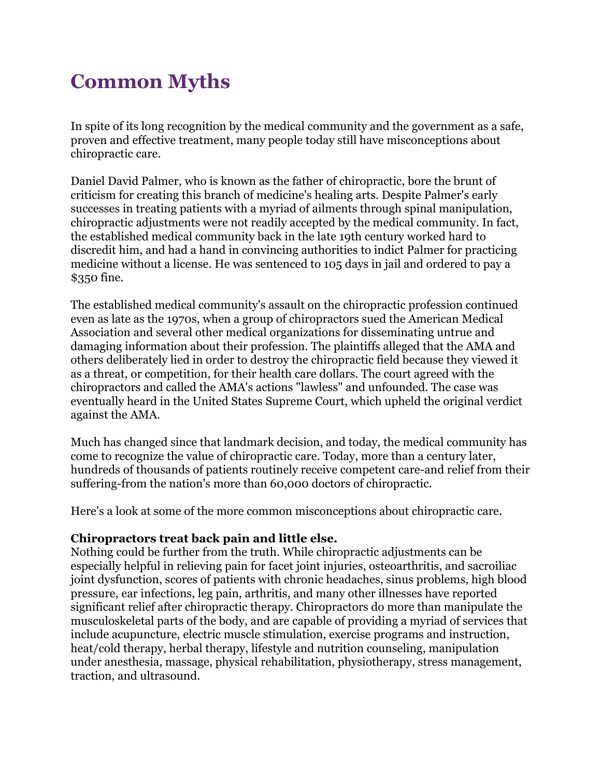# **Common Myths**

In spite of its long recognition by the medical community and the government as a safe, proven and effective treatment, many people today still have misconceptions about chiropractic care.

Daniel David Palmer, who is known as the father of chiropractic, bore the brunt of criticism for creating this branch of medicine's healing arts. Despite Palmer's early successes in treating patients with a myriad of ailments through spinal manipulation, chiropractic adjustments were not readily accepted by the medical community. In fact, the established medical community back in the late 19th century worked hard to discredit him, and had a hand in convincing authorities to indict Palmer for practicing medicine without a license. He was sentenced to 105 days in jail and ordered to pay a \$350 fine.

The established medical community's assault on the chiropractic profession continued even as late as the 1970s, when a group of chiropractors sued the American Medical Association and several other medical organizations for disseminating untrue and damaging information about their profession. The plaintiffs alleged that the AMA and others deliberately lied in order to destroy the chiropractic field because they viewed it as a threat, or competition, for their health care dollars. The court agreed with the chiropractors and called the AMA's actions "lawless" and unfounded. The case was eventually heard in the United States Supreme Court, which upheld the original verdict against the AMA.

Much has changed since that landmark decision, and today, the medical community has come to recognize the value of chiropractic care. Today, more than a century later, hundreds of thousands of patients routinely receive competent care-and relief from their suffering-from the nation's more than 60,000 doctors of chiropractic.

Here's a look at some of the more common misconceptions about chiropractic care.

## **Chiropractors treat back pain and little else.**

Nothing could be further from the truth. While chiropractic adjustments can be especially helpful in relieving pain for facet joint injuries, osteoarthritis, and sacroiliac joint dysfunction, scores of patients with chronic headaches, sinus problems, high blood pressure, ear infections, leg pain, arthritis, and many other illnesses have reported significant relief after chiropractic therapy. Chiropractors do more than manipulate the musculoskeletal parts of the body, and are capable of providing a myriad of services that include acupuncture, electric muscle stimulation, exercise programs and instruction, heat/cold therapy, herbal therapy, lifestyle and nutrition counseling, manipulation under anesthesia, massage, physical rehabilitation, physiotherapy, stress management, traction, and ultrasound.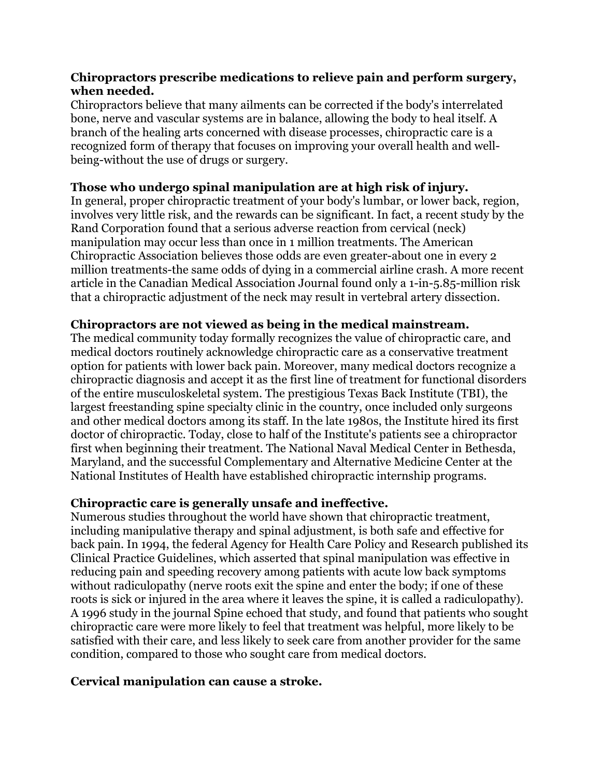#### **Chiropractors prescribe medications to relieve pain and perform surgery, when needed.**

Chiropractors believe that many ailments can be corrected if the body's interrelated bone, nerve and vascular systems are in balance, allowing the body to heal itself. A branch of the healing arts concerned with disease processes, chiropractic care is a recognized form of therapy that focuses on improving your overall health and wellbeing-without the use of drugs or surgery.

## **Those who undergo spinal manipulation are at high risk of injury.**

In general, proper chiropractic treatment of your body's lumbar, or lower back, region, involves very little risk, and the rewards can be significant. In fact, a recent study by the Rand Corporation found that a serious adverse reaction from cervical (neck) manipulation may occur less than once in 1 million treatments. The American Chiropractic Association believes those odds are even greater-about one in every 2 million treatments-the same odds of dying in a commercial airline crash. A more recent article in the Canadian Medical Association Journal found only a 1-in-5.85-million risk that a chiropractic adjustment of the neck may result in vertebral artery dissection.

## **Chiropractors are not viewed as being in the medical mainstream.**

The medical community today formally recognizes the value of chiropractic care, and medical doctors routinely acknowledge chiropractic care as a conservative treatment option for patients with lower back pain. Moreover, many medical doctors recognize a chiropractic diagnosis and accept it as the first line of treatment for functional disorders of the entire musculoskeletal system. The prestigious Texas Back Institute (TBI), the largest freestanding spine specialty clinic in the country, once included only surgeons and other medical doctors among its staff. In the late 1980s, the Institute hired its first doctor of chiropractic. Today, close to half of the Institute's patients see a chiropractor first when beginning their treatment. The National Naval Medical Center in Bethesda, Maryland, and the successful Complementary and Alternative Medicine Center at the National Institutes of Health have established chiropractic internship programs.

## **Chiropractic care is generally unsafe and ineffective.**

Numerous studies throughout the world have shown that chiropractic treatment, including manipulative therapy and spinal adjustment, is both safe and effective for back pain. In 1994, the federal Agency for Health Care Policy and Research published its Clinical Practice Guidelines, which asserted that spinal manipulation was effective in reducing pain and speeding recovery among patients with acute low back symptoms without radiculopathy (nerve roots exit the spine and enter the body; if one of these roots is sick or injured in the area where it leaves the spine, it is called a radiculopathy). A 1996 study in the journal Spine echoed that study, and found that patients who sought chiropractic care were more likely to feel that treatment was helpful, more likely to be satisfied with their care, and less likely to seek care from another provider for the same condition, compared to those who sought care from medical doctors.

## **Cervical manipulation can cause a stroke.**